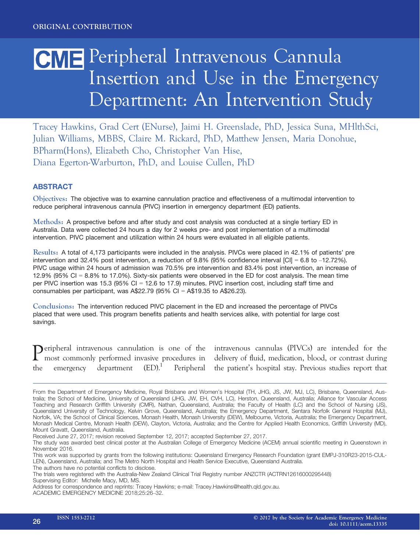# CME Peripheral Intravenous Cannula Insertion and Use in the Emergency Department: An Intervention Study

Tracey Hawkins, Grad Cert (ENurse), Jaimi H. Greenslade, PhD, Jessica Suna, MHlthSci, Julian Williams, MBBS, Claire M. Rickard, PhD, Matthew Jensen, Maria Donohue, BPharm(Hons), Elizabeth Cho, Christopher Van Hise, Diana Egerton-Warburton, PhD, and Louise Cullen, PhD

## **ABSTRACT**

Objectives: The objective was to examine cannulation practice and effectiveness of a multimodal intervention to reduce peripheral intravenous cannula (PIVC) insertion in emergency department (ED) patients.

Methods: A prospective before and after study and cost analysis was conducted at a single tertiary ED in Australia. Data were collected 24 hours a day for 2 weeks pre- and post implementation of a multimodal intervention. PIVC placement and utilization within 24 hours were evaluated in all eligible patients.

Results: A total of 4,173 participants were included in the analysis. PIVCs were placed in 42.1% of patients' pre intervention and 32.4% post intervention, a reduction of 9.8% (95% confidence interval [CI] = 6.8 to –12.72%). PIVC usage within 24 hours of admission was 70.5% pre intervention and 83.4% post intervention, an increase of 12.9% (95% CI = 8.8% to 17.0%). Sixty-six patients were observed in the ED for cost analysis. The mean time per PIVC insertion was 15.3 (95% CI = 12.6 to 17.9) minutes. PIVC insertion cost, including staff time and consumables per participant, was  $A$22.79$  (95% CI =  $A$19.35$  to  $A$26.23$ ).

Conclusions: The intervention reduced PIVC placement in the ED and increased the percentage of PIVCs placed that were used. This program benefits patients and health services alike, with potential for large cost savings.

| Deripheral intravenous cannulation is one of the        |  |  |  |  |
|---------------------------------------------------------|--|--|--|--|
| <b>L</b> most commonly performed invasive procedures in |  |  |  |  |
| the emergency department $(ED).1$ Peripheral            |  |  |  |  |

intravenous cannulas (PIVCs) are intended for the delivery of fluid, medication, blood, or contrast during the patient's hospital stay. Previous studies report that

Received June 27, 2017; revision received September 12, 2017; accepted September 27, 2017.

The authors have no potential conflicts to disclose.

From the Department of Emergency Medicine, Royal Brisbane and Women's Hospital (TH, JHG, JS, JW, MJ, LC), Brisbane, Queensland, Australia; the School of Medicine, University of Queensland (JHG, JW, EH, CVH, LC), Herston, Queensland, Australia; Alliance for Vascular Access Teaching and Research Griffith University (CMR), Nathan, Queensland, Australia; the Faculty of Health (LC) and the School of Nursing (JS), Queensland University of Technology, Kelvin Grove, Queensland, Australia; the Emergency Department, Sentara Norfolk General Hospital (MJ), Norfolk, VA; the School of Clinical Sciences, Monash Health, Monash University (DEW), Melbourne, Victoria, Australia; the Emergency Department, Monash Medical Centre, Monash Health (DEW), Clayton, Victoria, Australia; and the Centre for Applied Health Economics, Griffith University (MD), Mount Gravatt, Queensland, Australia.

The study was awarded best clinical poster at the Australian College of Emergency Medicine (ACEM) annual scientific meeting in Queenstown in November 2016.

This work was supported by grants from the following institutions: Queensland Emergency Research Foundation (grant EMPJ-310R23-2015-CUL-LEN), Queensland, Australia; and The Metro North Hospital and Health Service Executive, Queensland Australia.

The trials were registered with the Australia-New Zealand Clinical Trial Registry number ANZCTR (ACTRN12616000295448) Supervising Editor: Michelle Macy, MD, MS.

Address for correspondence and reprints: Tracey Hawkins; e-mail: Tracey.Hawkins@health.qld.gov.au. ACADEMIC EMERGENCY MEDICINE 2018;25:26–32.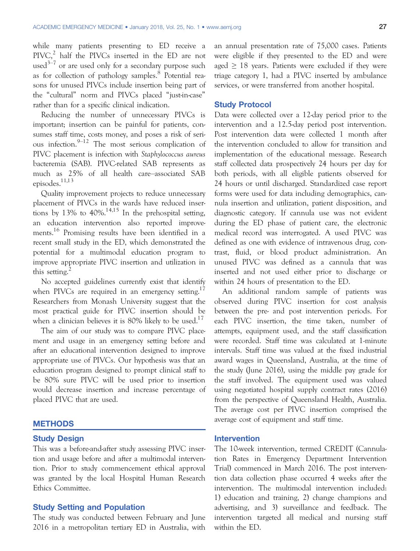while many patients presenting to ED receive a  $PIVC<sub>1</sub><sup>2</sup>$  half the PIVCs inserted in the ED are not used<sup>3–7</sup> or are used only for a secondary purpose such as for collection of pathology samples.<sup>8</sup> Potential reasons for unused PIVCs include insertion being part of the "cultural" norm and PIVCs placed "just-in-case" rather than for a specific clinical indication.

Reducing the number of unnecessary PIVCs is important; insertion can be painful for patients, consumes staff time, costs money, and poses a risk of serious infection. $9-12$  The most serious complication of PIVC placement is infection with Staphylococcus aureus bacteremia (SAB). PIVC-related SAB represents as much as 25% of all health care–associated SAB episodes.11,13

Quality improvement projects to reduce unnecessary placement of PIVCs in the wards have reduced insertions by 13% to  $40\%$ .<sup>14,15</sup> In the prehospital setting, an education intervention also reported improvements.<sup>16</sup> Promising results have been identified in a recent small study in the ED, which demonstrated the potential for a multimodal education program to improve appropriate PIVC insertion and utilization in this setting. $^{2}$ 

No accepted guidelines currently exist that identify when PIVCs are required in an emergency setting.<sup>17</sup> Researchers from Monash University suggest that the most practical guide for PIVC insertion should be when a clinician believes it is 80% likely to be used.<sup>17</sup>

The aim of our study was to compare PIVC placement and usage in an emergency setting before and after an educational intervention designed to improve appropriate use of PIVCs. Our hypothesis was that an education program designed to prompt clinical staff to be 80% sure PIVC will be used prior to insertion would decrease insertion and increase percentage of placed PIVC that are used.

#### **METHODS**

#### Study Design

This was a before-and-after study assessing PIVC insertion and usage before and after a multimodal intervention. Prior to study commencement ethical approval was granted by the local Hospital Human Research Ethics Committee.

#### Study Setting and Population

The study was conducted between February and June 2016 in a metropolitan tertiary ED in Australia, with an annual presentation rate of 75,000 cases. Patients were eligible if they presented to the ED and were aged  $> 18$  years. Patients were excluded if they were triage category 1, had a PIVC inserted by ambulance services, or were transferred from another hospital.

#### Study Protocol

Data were collected over a 12-day period prior to the intervention and a 12.5-day period post intervention. Post intervention data were collected 1 month after the intervention concluded to allow for transition and implementation of the educational message. Research staff collected data prospectively 24 hours per day for both periods, with all eligible patients observed for 24 hours or until discharged. Standardized case report forms were used for data including demographics, cannula insertion and utilization, patient disposition, and diagnostic category. If cannula use was not evident during the ED phase of patient care, the electronic medical record was interrogated. A used PIVC was defined as one with evidence of intravenous drug, contrast, fluid, or blood product administration. An unused PIVC was defined as a cannula that was inserted and not used either prior to discharge or within 24 hours of presentation to the ED.

An additional random sample of patients was observed during PIVC insertion for cost analysis between the pre- and post intervention periods. For each PIVC insertion, the time taken, number of attempts, equipment used, and the staff classification were recorded. Staff time was calculated at 1-minute intervals. Staff time was valued at the fixed industrial award wages in Queensland, Australia, at the time of the study (June 2016), using the middle pay grade for the staff involved. The equipment used was valued using negotiated hospital supply contract rates (2016) from the perspective of Queensland Health, Australia. The average cost per PIVC insertion comprised the average cost of equipment and staff time.

#### Intervention

The 10-week intervention, termed CREDIT (Cannulation Rates in Emergency Department Intervention Trial) commenced in March 2016. The post intervention data collection phase occurred 4 weeks after the intervention. The multimodal intervention included: 1) education and training, 2) change champions and advertising, and 3) surveillance and feedback. The intervention targeted all medical and nursing staff within the ED.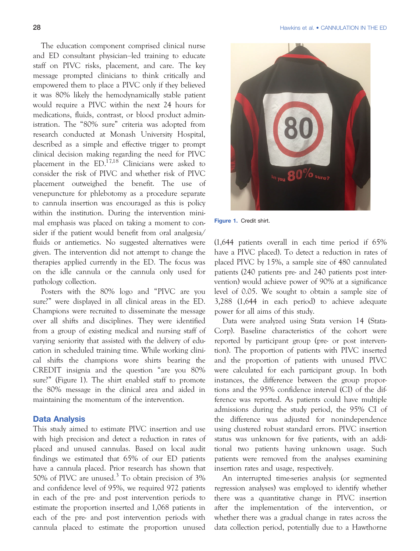The education component comprised clinical nurse and ED consultant physician–led training to educate staff on PIVC risks, placement, and care. The key message prompted clinicians to think critically and empowered them to place a PIVC only if they believed it was 80% likely the hemodynamically stable patient would require a PIVC within the next 24 hours for medications, fluids, contrast, or blood product administration. The "80% sure" criteria was adopted from research conducted at Monash University Hospital, described as a simple and effective trigger to prompt clinical decision making regarding the need for PIVC placement in the  $ED^{17,18}$  Clinicians were asked to consider the risk of PIVC and whether risk of PIVC placement outweighed the benefit. The use of venepuncture for phlebotomy as a procedure separate to cannula insertion was encouraged as this is policy within the institution. During the intervention minimal emphasis was placed on taking a moment to consider if the patient would benefit from oral analgesia/ fluids or antiemetics. No suggested alternatives were given. The intervention did not attempt to change the therapies applied currently in the ED. The focus was on the idle cannula or the cannula only used for pathology collection.

Posters with the 80% logo and "PIVC are you sure?" were displayed in all clinical areas in the ED. Champions were recruited to disseminate the message over all shifts and disciplines. They were identified from a group of existing medical and nursing staff of varying seniority that assisted with the delivery of education in scheduled training time. While working clinical shifts the champions wore shirts bearing the CREDIT insignia and the question "are you 80% sure?" (Figure 1). The shirt enabled staff to promote the 80% message in the clinical area and aided in maintaining the momentum of the intervention.

## Data Analysis

This study aimed to estimate PIVC insertion and use with high precision and detect a reduction in rates of placed and unused cannulas. Based on local audit findings we estimated that 65% of our ED patients have a cannula placed. Prior research has shown that 50% of PIVC are unused.<sup>3</sup> To obtain precision of  $3\%$ and confidence level of 95%, we required 972 patients in each of the pre- and post intervention periods to estimate the proportion inserted and 1,068 patients in each of the pre- and post intervention periods with cannula placed to estimate the proportion unused



Figure 1. Credit shirt.

(1,644 patients overall in each time period if 65% have a PIVC placed). To detect a reduction in rates of placed PIVC by 15%, a sample size of 480 cannulated patients (240 patients pre- and 240 patients post intervention) would achieve power of 90% at a significance level of 0.05. We sought to obtain a sample size of 3,288 (1,644 in each period) to achieve adequate power for all aims of this study.

Data were analyzed using Stata version 14 (Stata-Corp). Baseline characteristics of the cohort were reported by participant group (pre- or post intervention). The proportion of patients with PIVC inserted and the proportion of patients with unused PIVC were calculated for each participant group. In both instances, the difference between the group proportions and the 95% confidence interval (CI) of the difference was reported. As patients could have multiple admissions during the study period, the 95% CI of the difference was adjusted for nonindependence using clustered robust standard errors. PIVC insertion status was unknown for five patients, with an additional two patients having unknown usage. Such patients were removed from the analyses examining insertion rates and usage, respectively.

An interrupted time-series analysis (or segmented regression analyses) was employed to identify whether there was a quantitative change in PIVC insertion after the implementation of the intervention, or whether there was a gradual change in rates across the data collection period, potentially due to a Hawthorne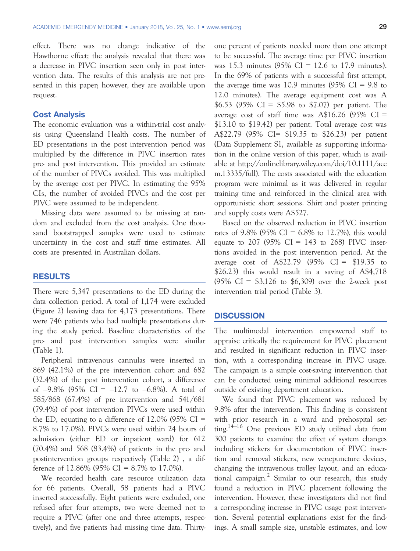effect. There was no change indicative of the Hawthorne effect; the analysis revealed that there was a decrease in PIVC insertion seen only in post intervention data. The results of this analysis are not presented in this paper; however, they are available upon request.

#### Cost Analysis

The economic evaluation was a within-trial cost analysis using Queensland Health costs. The number of ED presentations in the post intervention period was multiplied by the difference in PIVC insertion rates pre- and post intervention. This provided an estimate of the number of PIVCs avoided. This was multiplied by the average cost per PIVC. In estimating the 95% CIs, the number of avoided PIVCs and the cost per PIVC were assumed to be independent.

Missing data were assumed to be missing at random and excluded from the cost analysis. One thousand bootstrapped samples were used to estimate uncertainty in the cost and staff time estimates. All costs are presented in Australian dollars.

#### RESULTS

There were 5,347 presentations to the ED during the data collection period. A total of 1,174 were excluded (Figure 2) leaving data for 4,173 presentations. There were 746 patients who had multiple presentations during the study period. Baseline characteristics of the pre- and post intervention samples were similar (Table 1).

Peripheral intravenous cannulas were inserted in 869 (42.1%) of the pre intervention cohort and 682 (32.4%) of the post intervention cohort, a difference of  $-9.8\%$  (95% CI =  $-12.7$  to  $-6.8\%$ ). A total of 585/868 (67.4%) of pre intervention and 541/681 (79.4%) of post intervention PIVCs were used within the ED, equating to a difference of 12.0% (95%  $CI =$ 8.7% to 17.0%). PIVCs were used within 24 hours of admission (either ED or inpatient ward) for 612 (70.4%) and 568 (83.4%) of patients in the pre- and postintervention groups respectively (Table 2) , a difference of 12.86% (95% CI = 8.7% to 17.0%).

We recorded health care resource utilization data for 66 patients. Overall, 58 patients had a PIVC inserted successfully. Eight patients were excluded, one refused after four attempts, two were deemed not to require a PIVC (after one and three attempts, respectively), and five patients had missing time data. Thirtyone percent of patients needed more than one attempt to be successful. The average time per PIVC insertion was 15.3 minutes (95% CI = 12.6 to 17.9 minutes). In the 69% of patients with a successful first attempt, the average time was 10.9 minutes  $(95\% \text{ CI} = 9.8 \text{ to }$ 12.0 minutes). The average equipment cost was A \$6.53 (95% CI = \$5.98 to \$7.07) per patient. The average cost of staff time was  $A$16.26 (95\% \text{ CI} =$ \$13.10 to \$19.42) per patient. Total average cost was A\$22.79 (95% CI= \$19.35 to \$26.23) per patient (Data Supplement S1, available as supporting information in the online version of this paper, which is available at [http://onlinelibrary.wiley.com/doi/10.1111/ace](http://onlinelibrary.wiley.com/doi/10.1111/acem.13335/full) [m.13335/full\)](http://onlinelibrary.wiley.com/doi/10.1111/acem.13335/full). The costs associated with the education program were minimal as it was delivered in regular training time and reinforced in the clinical area with opportunistic short sessions. Shirt and poster printing and supply costs were A\$527.

Based on the observed reduction in PIVC insertion rates of 9.8% (95% CI = 6.8% to 12.7%), this would equate to 207 (95%  $CI = 143$  to 268) PIVC insertions avoided in the post intervention period. At the average cost of A\$22.79 (95% CI =  $$19.35$  to \$26.23) this would result in a saving of A\$4,718 (95% CI = \$3,126 to \$6,309) over the 2-week post intervention trial period (Table 3).

#### **DISCUSSION**

The multimodal intervention empowered staff to appraise critically the requirement for PIVC placement and resulted in significant reduction in PIVC insertion, with a corresponding increase in PIVC usage. The campaign is a simple cost-saving intervention that can be conducted using minimal additional resources outside of existing department education.

We found that PIVC placement was reduced by 9.8% after the intervention. This finding is consistent with prior research in a ward and prehospital setting.<sup>14–16</sup> One previous ED study utilized data from 300 patients to examine the effect of system changes including stickers for documentation of PIVC insertion and removal stickers, new venepuncture devices, changing the intravenous trolley layout, and an educational campaign.<sup>2</sup> Similar to our research, this study found a reduction in PIVC placement following the intervention. However, these investigators did not find a corresponding increase in PIVC usage post intervention. Several potential explanations exist for the findings. A small sample size, unstable estimates, and low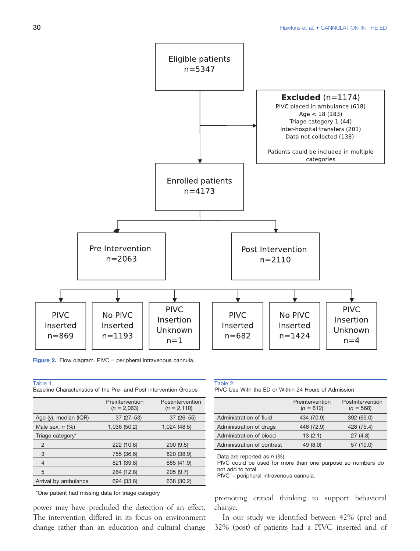

Figure 2. Flow diagram. PIVC = peripheral intravenous cannula.

| Table 1 |                                                                   |  |  |  |
|---------|-------------------------------------------------------------------|--|--|--|
|         | Baseline Characteristics of the Pre- and Post intervention Groups |  |  |  |

|                       | Preintervention<br>$(n = 2,063)$ | Postintervention<br>$(n = 2, 110)$ |
|-----------------------|----------------------------------|------------------------------------|
| Age (y), median (IQR) | $37(27-53)$                      | $37(26 - 55)$                      |
| Male sex, $n$ $(\%)$  | 1,036 (50.2)                     | 1,024 (48.5)                       |
| Triage category*      |                                  |                                    |
| $\overline{2}$        | 222 (10.8)                       | 200(9.5)                           |
| 3                     | 755 (36.6)                       | 820 (38.9)                         |
| $\overline{4}$        | 821 (39.8)                       | 885 (41.9)                         |
| 5                     | 264 (12.8)                       | 205(9.7)                           |
| Arrival by ambulance  | 694 (33.6)                       | 638 (30.2)                         |

\*One patient had missing data for triage category

power may have precluded the detection of an effect. The intervention differed in its focus on environment change rather than an education and cultural change

#### Table 2

PIVC Use With the ED or Within 24 Hours of Admission

|                            | Preintervention<br>$(n = 612)$ | Postintervention<br>$(n = 568)$ |
|----------------------------|--------------------------------|---------------------------------|
| Administration of fluid    | 434 (70.9)                     | 392 (69.0)                      |
| Administration of drugs    | 446 (72.9)                     | 428 (75.4)                      |
| Administration of blood    | 13(2.1)                        | 27(4.8)                         |
| Administration of contrast | 49 (8.0)                       | 57 (10.0)                       |

Data are reported as  $n$  (%).

PIVC could be used for more than one purpose so numbers do not add to total.

PIVC = peripheral intravenous cannula.

promoting critical thinking to support behavioral change.

In our study we identified between 42% (pre) and 32% (post) of patients had a PIVC inserted and of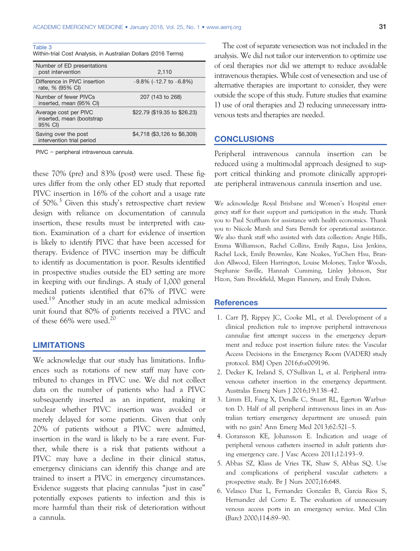| Table 3<br>Within-trial Cost Analysis, in Australian Dollars (2016 Terms) |                         |
|---------------------------------------------------------------------------|-------------------------|
| Number of ED presentations<br>post intervention                           | 2.110                   |
| $\mathbb{R}^{16}$ and $\mathbb{R}^{16}$                                   | $0.0011107 \cdot 0.001$ |

| Difference in PIVC insertion<br>rate, % (95% CI)              | $-9.8\%$ (-12.7 to $-6.8\%$ ) |
|---------------------------------------------------------------|-------------------------------|
| Number of fewer PIVCs<br>inserted, mean (95% CI)              | 207 (143 to 268)              |
| Average cost per PIVC<br>inserted, mean (bootstrap<br>95% CI) | \$22.79 (\$19.35 to \$26.23)  |
| Saving over the post<br>intervention trial period             | \$4,718 (\$3,126 to \$6,309)  |

PIVC = peripheral intravenous cannula.

these 70% (pre) and 83% (post) were used. These figures differ from the only other ED study that reported PIVC insertion in 16% of the cohort and a usage rate of 50%.<sup>3</sup> Given this study's retrospective chart review design with reliance on documentation of cannula insertion, these results must be interpreted with caution. Examination of a chart for evidence of insertion is likely to identify PIVC that have been accessed for therapy. Evidence of PIVC insertion may be difficult to identify as documentation is poor. Results identified in prospective studies outside the ED setting are more in keeping with our findings. A study of 1,000 general medical patients identified that 67% of PIVC were used.19 Another study in an acute medical admission unit found that 80% of patients received a PIVC and of these  $66\%$  were used.<sup>20</sup>

#### LIMITATIONS

We acknowledge that our study has limitations. Influences such as rotations of new staff may have contributed to changes in PIVC use. We did not collect data on the number of patients who had a PIVC subsequently inserted as an inpatient, making it unclear whether PIVC insertion was avoided or merely delayed for some patients. Given that only 20% of patients without a PIVC were admitted, insertion in the ward is likely to be a rare event. Further, while there is a risk that patients without a PIVC may have a decline in their clinical status, emergency clinicians can identify this change and are trained to insert a PIVC in emergency circumstances. Evidence suggests that placing cannulas "just in case" potentially exposes patients to infection and this is more harmful than their risk of deterioration without a cannula.

The cost of separate venesection was not included in the analysis. We did not tailor our intervention to optimize use of oral therapies nor did we attempt to reduce avoidable intravenous therapies. While cost of venesection and use of alternative therapies are important to consider, they were outside the scope of this study. Future studies that examine 1) use of oral therapies and 2) reducing unnecessary intravenous tests and therapies are needed.

### **CONCLUSIONS**

Peripheral intravenous cannula insertion can be reduced using a multimodal approach designed to support critical thinking and promote clinically appropriate peripheral intravenous cannula insertion and use.

We acknowledge Royal Brisbane and Women's Hospital emergency staff for their support and participation in the study. Thank you to Paul Scuffham for assistance with health economics. Thank you to Niicole Marsh and Sara Berndt for operational assistance. We also thank staff who assisted with data collection: Angie Hills, Emma Williamson, Rachel Collins, Emily Ragus, Lisa Jenkins, Rachel Lock, Emily Brownlee, Kate Noakes, YuChen Hsu, Brandon Allwood, Eileen Harrington, Louise Moloney, Taylor Woods, Stephanie Saville, Hannah Cumming, Linley Johnson, Star Hizon, Sam Brookfield, Megan Flannery, and Emily Dalton.

#### **References**

- 1. Carr PJ, Rippey JC, Cooke ML, et al. Development of a clinical prediction rule to improve peripheral intravenous cannulae first attempt success in the emergency department and reduce post insertion failure rates: the Vascular Access Decisions in the Emergency Room (VADER) study protocol. BMJ Open 2016;6:e009196.
- 2. Decker K, Ireland S, O'Sullivan L, et al. Peripheral intravenous catheter insertion in the emergency department. Australas Emerg Nurs J 2016;19:138–42.
- 3. Limm EI, Fang X, Dendle C, Stuart RL, Egerton Warburton D. Half of all peripheral intravenous lines in an Australian tertiary emergency department are unused: pain with no gain? Ann Emerg Med 2013;62:521–5.
- 4. Goransson KE, Johansson E. Indication and usage of peripheral venous catheters inserted in adult patients during emergency care. J Vasc Access 2011;12:193–9.
- 5. Abbas SZ, Klass de Vries TK, Shaw S, Abbas SQ. Use and complications of peripheral vascular catheters: a prospective study. Br J Nurs 2007;16:648.
- 6. Velasco Diaz L, Fernandez Gonzalez B, Garcia Rios S, Hernandez del Corro E. The evaluation of unnecessary venous access ports in an emergency service. Med Clin (Barc) 2000;114:89–90.